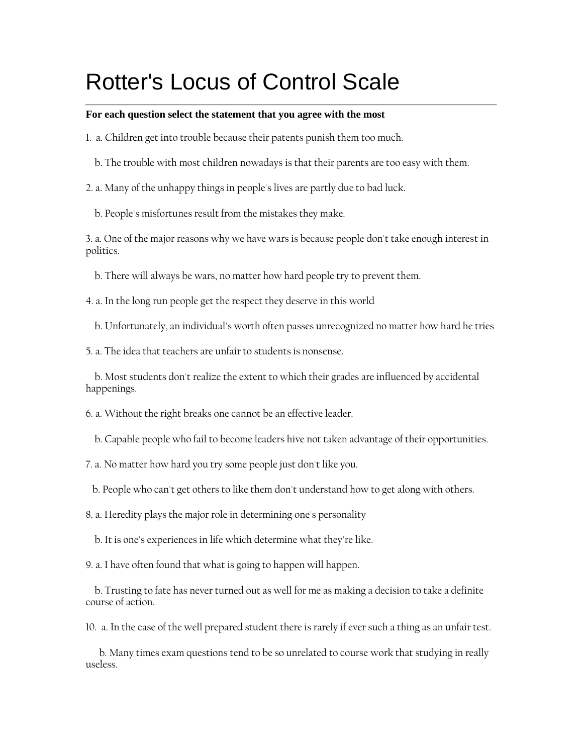## Rotter's Locus of Control Scale

## **For each question select the statement that you agree with the most**

- 1. a. Children get into trouble because their patents punish them too much.
	- b. The trouble with most children nowadays is that their parents are too easy with them.

2. a. Many of the unhappy things in people's lives are partly due to bad luck.

b. People's misfortunes result from the mistakes they make.

3. a. One of the major reasons why we have wars is because people don't take enough interest in politics.

b. There will always be wars, no matter how hard people try to prevent them.

4. a. In the long run people get the respect they deserve in this world

b. Unfortunately, an individual's worth often passes unrecognized no matter how hard he tries

5. a. The idea that teachers are unfair to students is nonsense.

 b. Most students don't realize the extent to which their grades are influenced by accidental happenings.

6. a. Without the right breaks one cannot be an effective leader.

b. Capable people who fail to become leaders hive not taken advantage of their opportunities.

7. a. No matter how hard you try some people just don't like you.

b. People who can't get others to like them don't understand how to get along with others.

8. a. Heredity plays the major role in determining one's personality

b. It is one's experiences in life which determine what they're like.

9. a. I have often found that what is going to happen will happen.

 b. Trusting to fate has never turned out as well for me as making a decision to take a definite course of action.

10. a. In the case of the well prepared student there is rarely if ever such a thing as an unfair test.

 b. Many times exam questions tend to be so unrelated to course work that studying in really useless.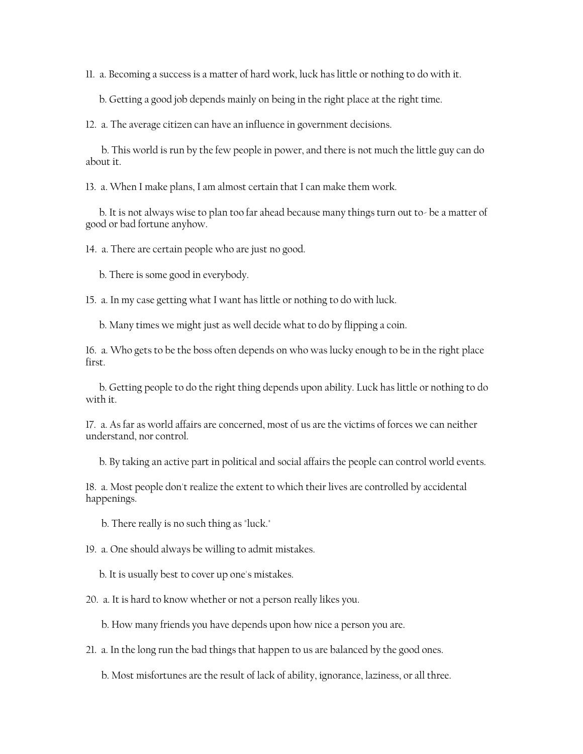11. a. Becoming a success is a matter of hard work, luck has little or nothing to do with it.

b. Getting a good job depends mainly on being in the right place at the right time.

12. a. The average citizen can have an influence in government decisions.

 b. This world is run by the few people in power, and there is not much the little guy can do about it.

13. a. When I make plans, I am almost certain that I can make them work.

 b. It is not always wise to plan too far ahead because many things turn out to- be a matter of good or bad fortune anyhow.

14. a. There are certain people who are just no good.

b. There is some good in everybody.

15. a. In my case getting what I want has little or nothing to do with luck.

b. Many times we might just as well decide what to do by flipping a coin.

16. a. Who gets to be the boss often depends on who was lucky enough to be in the right place first.

 b. Getting people to do the right thing depends upon ability. Luck has little or nothing to do with it.

17. a. As far as world affairs are concerned, most of us are the victims of forces we can neither understand, nor control.

b. By taking an active part in political and social affairs the people can control world events.

18. a. Most people don't realize the extent to which their lives are controlled by accidental happenings.

b. There really is no such thing as "luck."

19. a. One should always be willing to admit mistakes.

b. It is usually best to cover up one's mistakes.

20. a. It is hard to know whether or not a person really likes you.

b. How many friends you have depends upon how nice a person you are.

21. a. In the long run the bad things that happen to us are balanced by the good ones.

b. Most misfortunes are the result of lack of ability, ignorance, laziness, or all three.